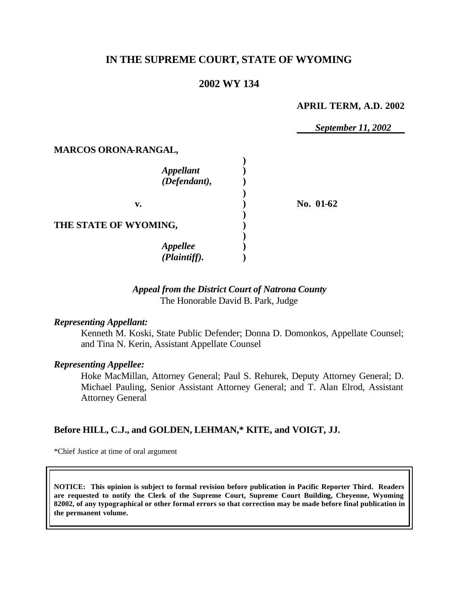# **IN THE SUPREME COURT, STATE OF WYOMING**

## **2002 WY 134**

#### **APRIL TERM, A.D. 2002**

*September 11, 2002*

### **MARCOS ORONA-RANGAL,**

| <b>Appellant</b><br>(Defendant),         |           |
|------------------------------------------|-----------|
| v.                                       | No. 01-62 |
| THE STATE OF WYOMING,                    |           |
| <b>Appellee</b><br>$(\hat{Plaintiff})$ . |           |

## *Appeal from the District Court of Natrona County* The Honorable David B. Park, Judge

### *Representing Appellant:*

Kenneth M. Koski, State Public Defender; Donna D. Domonkos, Appellate Counsel; and Tina N. Kerin, Assistant Appellate Counsel

#### *Representing Appellee:*

Hoke MacMillan, Attorney General; Paul S. Rehurek, Deputy Attorney General; D. Michael Pauling, Senior Assistant Attorney General; and T. Alan Elrod, Assistant Attorney General

### **Before HILL, C.J., and GOLDEN, LEHMAN,\* KITE, and VOIGT, JJ.**

\*Chief Justice at time of oral argument

**NOTICE: This opinion is subject to formal revision before publication in Pacific Reporter Third. Readers are requested to notify the Clerk of the Supreme Court, Supreme Court Building, Cheyenne, Wyoming 82002, of any typographical or other formal errors so that correction may be made before final publication in the permanent volume.**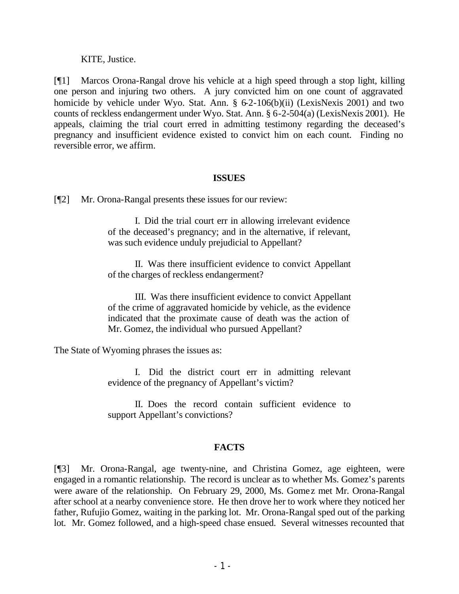### KITE, Justice.

[¶1] Marcos Orona-Rangal drove his vehicle at a high speed through a stop light, killing one person and injuring two others. A jury convicted him on one count of aggravated homicide by vehicle under Wyo. Stat. Ann. § 6-2-106(b)(ii) (LexisNexis 2001) and two counts of reckless endangerment under Wyo. Stat. Ann. § 6-2-504(a) (LexisNexis 2001). He appeals, claiming the trial court erred in admitting testimony regarding the deceased's pregnancy and insufficient evidence existed to convict him on each count. Finding no reversible error, we affirm.

### **ISSUES**

[¶2] Mr. Orona-Rangal presents these issues for our review:

I. Did the trial court err in allowing irrelevant evidence of the deceased's pregnancy; and in the alternative, if relevant, was such evidence unduly prejudicial to Appellant?

II. Was there insufficient evidence to convict Appellant of the charges of reckless endangerment?

III. Was there insufficient evidence to convict Appellant of the crime of aggravated homicide by vehicle, as the evidence indicated that the proximate cause of death was the action of Mr. Gomez, the individual who pursued Appellant?

The State of Wyoming phrases the issues as:

I. Did the district court err in admitting relevant evidence of the pregnancy of Appellant's victim?

II. Does the record contain sufficient evidence to support Appellant's convictions?

## **FACTS**

[¶3] Mr. Orona-Rangal, age twenty-nine, and Christina Gomez, age eighteen, were engaged in a romantic relationship. The record is unclear as to whether Ms. Gomez's parents were aware of the relationship. On February 29, 2000, Ms. Gomez met Mr. Orona-Rangal after school at a nearby convenience store. He then drove her to work where they noticed her father, Rufujio Gomez, waiting in the parking lot. Mr. Orona-Rangal sped out of the parking lot. Mr. Gomez followed, and a high-speed chase ensued. Several witnesses recounted that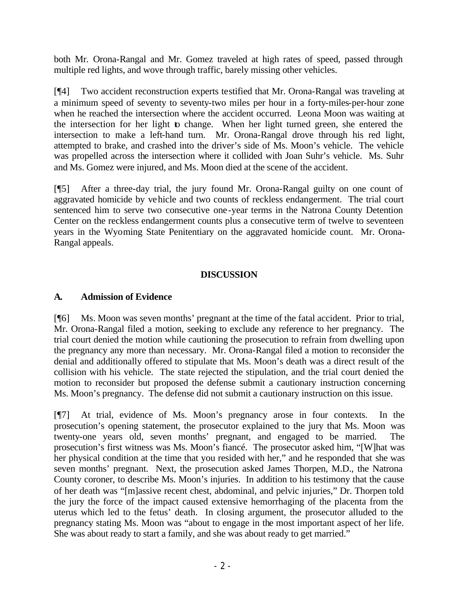both Mr. Orona-Rangal and Mr. Gomez traveled at high rates of speed, passed through multiple red lights, and wove through traffic, barely missing other vehicles.

[¶4] Two accident reconstruction experts testified that Mr. Orona-Rangal was traveling at a minimum speed of seventy to seventy-two miles per hour in a forty-miles-per-hour zone when he reached the intersection where the accident occurred. Leona Moon was waiting at the intersection for her light to change. When her light turned green, she entered the intersection to make a left-hand turn. Mr. Orona-Rangal drove through his red light, attempted to brake, and crashed into the driver's side of Ms. Moon's vehicle. The vehicle was propelled across the intersection where it collided with Joan Suhr's vehicle. Ms. Suhr and Ms. Gomez were injured, and Ms. Moon died at the scene of the accident.

[¶5] After a three-day trial, the jury found Mr. Orona-Rangal guilty on one count of aggravated homicide by vehicle and two counts of reckless endangerment. The trial court sentenced him to serve two consecutive one-year terms in the Natrona County Detention Center on the reckless endangerment counts plus a consecutive term of twelve to seventeen years in the Wyoming State Penitentiary on the aggravated homicide count. Mr. Orona-Rangal appeals.

# **DISCUSSION**

## **A. Admission of Evidence**

[¶6] Ms. Moon was seven months' pregnant at the time of the fatal accident. Prior to trial, Mr. Orona-Rangal filed a motion, seeking to exclude any reference to her pregnancy. The trial court denied the motion while cautioning the prosecution to refrain from dwelling upon the pregnancy any more than necessary. Mr. Orona-Rangal filed a motion to reconsider the denial and additionally offered to stipulate that Ms. Moon's death was a direct result of the collision with his vehicle. The state rejected the stipulation, and the trial court denied the motion to reconsider but proposed the defense submit a cautionary instruction concerning Ms. Moon's pregnancy. The defense did not submit a cautionary instruction on this issue.

[¶7] At trial, evidence of Ms. Moon's pregnancy arose in four contexts. In the prosecution's opening statement, the prosecutor explained to the jury that Ms. Moon was twenty-one years old, seven months' pregnant, and engaged to be married. The prosecution's first witness was Ms. Moon's fiancé. The prosecutor asked him, "[W]hat was her physical condition at the time that you resided with her," and he responded that she was seven months' pregnant. Next, the prosecution asked James Thorpen, M.D., the Natrona County coroner, to describe Ms. Moon's injuries. In addition to his testimony that the cause of her death was "[m]assive recent chest, abdominal, and pelvic injuries," Dr. Thorpen told the jury the force of the impact caused extensive hemorrhaging of the placenta from the uterus which led to the fetus' death. In closing argument, the prosecutor alluded to the pregnancy stating Ms. Moon was "about to engage in the most important aspect of her life. She was about ready to start a family, and she was about ready to get married."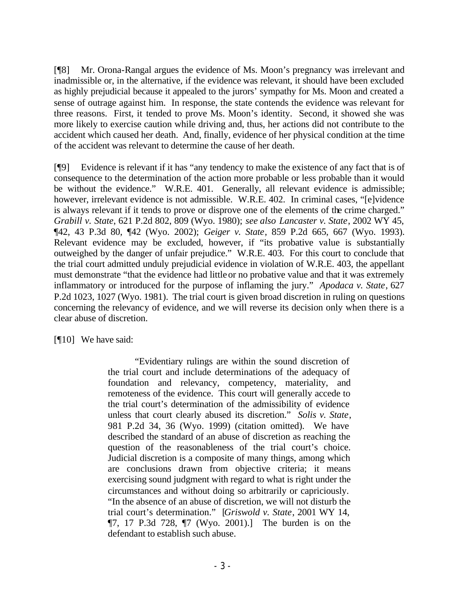[¶8] Mr. Orona-Rangal argues the evidence of Ms. Moon's pregnancy was irrelevant and inadmissible or, in the alternative, if the evidence was relevant, it should have been excluded as highly prejudicial because it appealed to the jurors' sympathy for Ms. Moon and created a sense of outrage against him. In response, the state contends the evidence was relevant for three reasons. First, it tended to prove Ms. Moon's identity. Second, it showed she was more likely to exercise caution while driving and, thus, her actions did not contribute to the accident which caused her death. And, finally, evidence of her physical condition at the time of the accident was relevant to determine the cause of her death.

[¶9] Evidence is relevant if it has "any tendency to make the existence of any fact that is of consequence to the determination of the action more probable or less probable than it would be without the evidence." W.R.E. 401. Generally, all relevant evidence is admissible; however, irrelevant evidence is not admissible. W.R.E. 402. In criminal cases, "[e]vidence is always relevant if it tends to prove or disprove one of the elements of the crime charged." *Grabill v. State*, 621 P.2d 802, 809 (Wyo. 1980); *see also Lancaster v. State*, 2002 WY 45, ¶42, 43 P.3d 80, ¶42 (Wyo. 2002); *Geiger v. State*, 859 P.2d 665, 667 (Wyo. 1993). Relevant evidence may be excluded, however, if "its probative value is substantially outweighed by the danger of unfair prejudice." W.R.E. 403. For this court to conclude that the trial court admitted unduly prejudicial evidence in violation of W.R.E. 403, the appellant must demonstrate "that the evidence had little or no probative value and that it was extremely inflammatory or introduced for the purpose of inflaming the jury." *Apodaca v. State*, 627 P.2d 1023, 1027 (Wyo. 1981). The trial court is given broad discretion in ruling on questions concerning the relevancy of evidence, and we will reverse its decision only when there is a clear abuse of discretion.

[¶10] We have said:

"Evidentiary rulings are within the sound discretion of the trial court and include determinations of the adequacy of foundation and relevancy, competency, materiality, and remoteness of the evidence. This court will generally accede to the trial court's determination of the admissibility of evidence unless that court clearly abused its discretion." *Solis v. State*, 981 P.2d 34, 36 (Wyo. 1999) (citation omitted). We have described the standard of an abuse of discretion as reaching the question of the reasonableness of the trial court's choice. Judicial discretion is a composite of many things, among which are conclusions drawn from objective criteria; it means exercising sound judgment with regard to what is right under the circumstances and without doing so arbitrarily or capriciously. "In the absence of an abuse of discretion, we will not disturb the trial court's determination." [*Griswold v. State*, 2001 WY 14, ¶7, 17 P.3d 728, ¶7 (Wyo. 2001).] The burden is on the defendant to establish such abuse.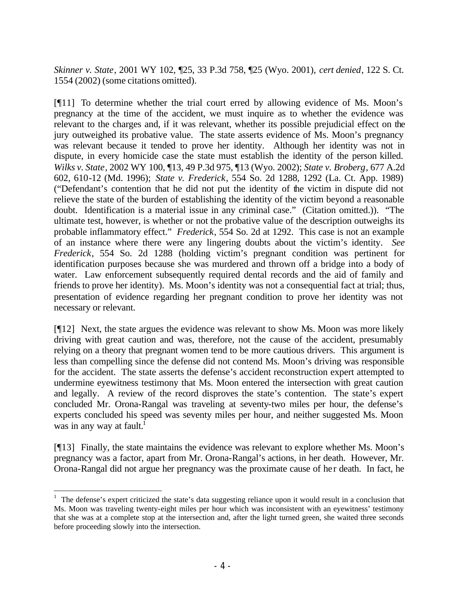*Skinner v. State*, 2001 WY 102, ¶25, 33 P.3d 758, ¶25 (Wyo. 2001), *cert denied*, 122 S. Ct. 1554 (2002) (some citations omitted).

[¶11] To determine whether the trial court erred by allowing evidence of Ms. Moon's pregnancy at the time of the accident, we must inquire as to whether the evidence was relevant to the charges and, if it was relevant, whether its possible prejudicial effect on the jury outweighed its probative value. The state asserts evidence of Ms. Moon's pregnancy was relevant because it tended to prove her identity. Although her identity was not in dispute, in every homicide case the state must establish the identity of the person killed. *Wilks v. State*, 2002 WY 100, ¶13, 49 P.3d 975, ¶13 (Wyo. 2002); *State v. Broberg*, 677 A.2d 602, 610-12 (Md. 1996); *State v. Frederick*, 554 So. 2d 1288, 1292 (La. Ct. App. 1989) ("Defendant's contention that he did not put the identity of the victim in dispute did not relieve the state of the burden of establishing the identity of the victim beyond a reasonable doubt. Identification is a material issue in any criminal case." (Citation omitted.)). "The ultimate test, however, is whether or not the probative value of the description outweighs its probable inflammatory effect." *Frederick*, 554 So. 2d at 1292. This case is not an example of an instance where there were any lingering doubts about the victim's identity. *See Frederick*, 554 So. 2d 1288 (holding victim's pregnant condition was pertinent for identification purposes because she was murdered and thrown off a bridge into a body of water. Law enforcement subsequently required dental records and the aid of family and friends to prove her identity). Ms. Moon's identity was not a consequential fact at trial; thus, presentation of evidence regarding her pregnant condition to prove her identity was not necessary or relevant.

[¶12] Next, the state argues the evidence was relevant to show Ms. Moon was more likely driving with great caution and was, therefore, not the cause of the accident, presumably relying on a theory that pregnant women tend to be more cautious drivers. This argument is less than compelling since the defense did not contend Ms. Moon's driving was responsible for the accident. The state asserts the defense's accident reconstruction expert attempted to undermine eyewitness testimony that Ms. Moon entered the intersection with great caution and legally. A review of the record disproves the state's contention. The state's expert concluded Mr. Orona-Rangal was traveling at seventy-two miles per hour, the defense's experts concluded his speed was seventy miles per hour, and neither suggested Ms. Moon was in any way at fault.<sup>1</sup>

[¶13] Finally, the state maintains the evidence was relevant to explore whether Ms. Moon's pregnancy was a factor, apart from Mr. Orona-Rangal's actions, in her death. However, Mr. Orona-Rangal did not argue her pregnancy was the proximate cause of her death. In fact, he

 $1$  The defense's expert criticized the state's data suggesting reliance upon it would result in a conclusion that Ms. Moon was traveling twenty-eight miles per hour which was inconsistent with an eyewitness' testimony that she was at a complete stop at the intersection and, after the light turned green, she waited three seconds before proceeding slowly into the intersection.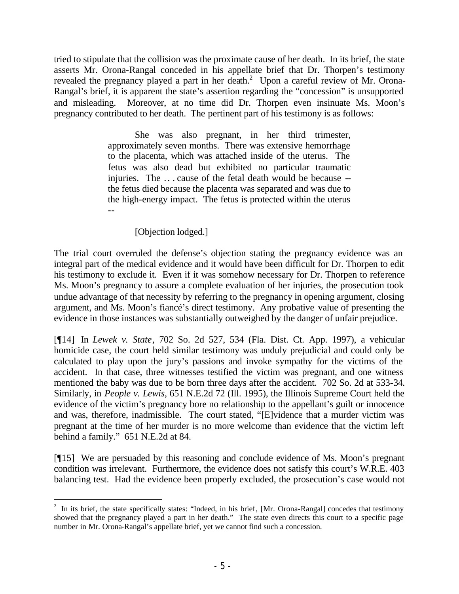tried to stipulate that the collision was the proximate cause of her death. In its brief, the state asserts Mr. Orona-Rangal conceded in his appellate brief that Dr. Thorpen's testimony revealed the pregnancy played a part in her death.<sup>2</sup> Upon a careful review of Mr. Orona-Rangal's brief, it is apparent the state's assertion regarding the "concession" is unsupported and misleading. Moreover, at no time did Dr. Thorpen even insinuate Ms. Moon's pregnancy contributed to her death. The pertinent part of his testimony is as follows:

> She was also pregnant, in her third trimester, approximately seven months. There was extensive hemorrhage to the placenta, which was attached inside of the uterus. The fetus was also dead but exhibited no particular traumatic injuries. The ... cause of the fetal death would be because -the fetus died because the placenta was separated and was due to the high-energy impact. The fetus is protected within the uterus --

> > [Objection lodged.]

The trial court overruled the defense's objection stating the pregnancy evidence was an integral part of the medical evidence and it would have been difficult for Dr. Thorpen to edit his testimony to exclude it. Even if it was somehow necessary for Dr. Thorpen to reference Ms. Moon's pregnancy to assure a complete evaluation of her injuries, the prosecution took undue advantage of that necessity by referring to the pregnancy in opening argument, closing argument, and Ms. Moon's fiancé's direct testimony. Any probative value of presenting the evidence in those instances was substantially outweighed by the danger of unfair prejudice.

[¶14] In *Lewek v. State*, 702 So. 2d 527, 534 (Fla. Dist. Ct. App. 1997), a vehicular homicide case, the court held similar testimony was unduly prejudicial and could only be calculated to play upon the jury's passions and invoke sympathy for the victims of the accident. In that case, three witnesses testified the victim was pregnant, and one witness mentioned the baby was due to be born three days after the accident. 702 So. 2d at 533-34. Similarly, in *People v. Lewis*, 651 N.E.2d 72 (Ill. 1995), the Illinois Supreme Court held the evidence of the victim's pregnancy bore no relationship to the appellant's guilt or innocence and was, therefore, inadmissible. The court stated, "[E]vidence that a murder victim was pregnant at the time of her murder is no more welcome than evidence that the victim left behind a family." 651 N.E.2d at 84.

[¶15] We are persuaded by this reasoning and conclude evidence of Ms. Moon's pregnant condition was irrelevant. Furthermore, the evidence does not satisfy this court's W.R.E. 403 balancing test. Had the evidence been properly excluded, the prosecution's case would not

<sup>&</sup>lt;sup>2</sup> In its brief, the state specifically states: "Indeed, in his brief, [Mr. Orona-Rangal] concedes that testimony showed that the pregnancy played a part in her death." The state even directs this court to a specific page number in Mr. Orona-Rangal's appellate brief, yet we cannot find such a concession.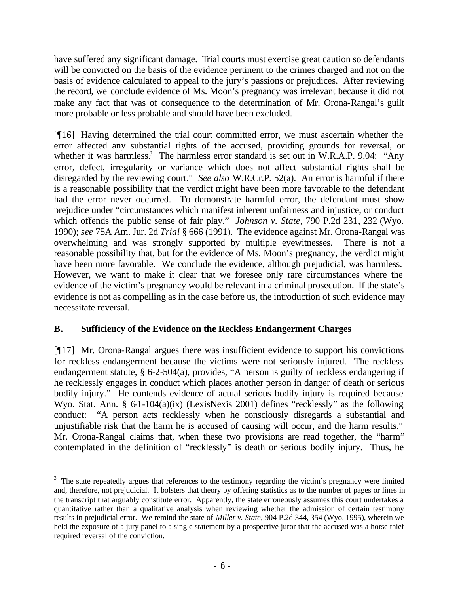have suffered any significant damage. Trial courts must exercise great caution so defendants will be convicted on the basis of the evidence pertinent to the crimes charged and not on the basis of evidence calculated to appeal to the jury's passions or prejudices. After reviewing the record, we conclude evidence of Ms. Moon's pregnancy was irrelevant because it did not make any fact that was of consequence to the determination of Mr. Orona-Rangal's guilt more probable or less probable and should have been excluded.

[¶16] Having determined the trial court committed error, we must ascertain whether the error affected any substantial rights of the accused, providing grounds for reversal, or whether it was harmless.<sup>3</sup> The harmless error standard is set out in W.R.A.P. 9.04: "Any error, defect, irregularity or variance which does not affect substantial rights shall be disregarded by the reviewing court." *See also* W.R.Cr.P. 52(a). An error is harmful if there is a reasonable possibility that the verdict might have been more favorable to the defendant had the error never occurred. To demonstrate harmful error, the defendant must show prejudice under "circumstances which manifest inherent unfairness and injustice, or conduct which offends the public sense of fair play." *Johnson v. State*, 790 P.2d 231, 232 (Wyo. 1990); *see* 75A Am. Jur. 2d *Trial* § 666 (1991). The evidence against Mr. Orona-Rangal was overwhelming and was strongly supported by multiple eyewitnesses. There is not a reasonable possibility that, but for the evidence of Ms. Moon's pregnancy, the verdict might have been more favorable. We conclude the evidence, although prejudicial, was harmless. However, we want to make it clear that we foresee only rare circumstances where the evidence of the victim's pregnancy would be relevant in a criminal prosecution. If the state's evidence is not as compelling as in the case before us, the introduction of such evidence may necessitate reversal.

# **B. Sufficiency of the Evidence on the Reckless Endangerment Charges**

[¶17] Mr. Orona-Rangal argues there was insufficient evidence to support his convictions for reckless endangerment because the victims were not seriously injured. The reckless endangerment statute, § 6-2-504(a), provides, "A person is guilty of reckless endangering if he recklessly engages in conduct which places another person in danger of death or serious bodily injury." He contends evidence of actual serious bodily injury is required because Wyo. Stat. Ann. § 6-1-104(a)(ix) (LexisNexis 2001) defines "recklessly" as the following conduct: "A person acts recklessly when he consciously disregards a substantial and unjustifiable risk that the harm he is accused of causing will occur, and the harm results." Mr. Orona-Rangal claims that, when these two provisions are read together, the "harm" contemplated in the definition of "recklessly" is death or serious bodily injury. Thus, he

<sup>&</sup>lt;sup>3</sup> The state repeatedly argues that references to the testimony regarding the victim's pregnancy were limited and, therefore, not prejudicial. It bolsters that theory by offering statistics as to the number of pages or lines in the transcript that arguably constitute error. Apparently, the state erroneously assumes this court undertakes a quantitative rather than a qualitative analysis when reviewing whether the admission of certain testimony results in prejudicial error. We remind the state of *Miller v. State*, 904 P.2d 344, 354 (Wyo. 1995), wherein we held the exposure of a jury panel to a single statement by a prospective juror that the accused was a horse thief required reversal of the conviction.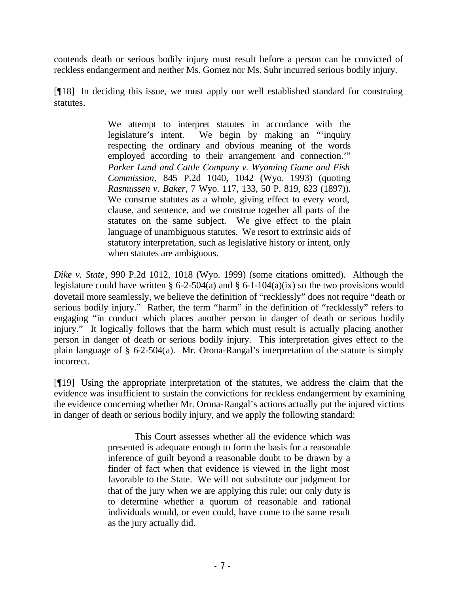contends death or serious bodily injury must result before a person can be convicted of reckless endangerment and neither Ms. Gomez nor Ms. Suhr incurred serious bodily injury.

[¶18] In deciding this issue, we must apply our well established standard for construing statutes.

> We attempt to interpret statutes in accordance with the legislature's intent. We begin by making an "'inquiry respecting the ordinary and obvious meaning of the words employed according to their arrangement and connection.'" *Parker Land and Cattle Company v. Wyoming Game and Fish Commission*, 845 P.2d 1040, 1042 (Wyo. 1993) (quoting *Rasmussen v. Baker*, 7 Wyo. 117, 133, 50 P. 819, 823 (1897)). We construe statutes as a whole, giving effect to every word, clause, and sentence, and we construe together all parts of the statutes on the same subject. We give effect to the plain language of unambiguous statutes. We resort to extrinsic aids of statutory interpretation, such as legislative history or intent, only when statutes are ambiguous.

*Dike v. State*, 990 P.2d 1012, 1018 (Wyo. 1999) (some citations omitted). Although the legislature could have written § 6-2-504(a) and § 6-1-104(a)(ix) so the two provisions would dovetail more seamlessly, we believe the definition of "recklessly" does not require "death or serious bodily injury." Rather, the term "harm" in the definition of "recklessly" refers to engaging "in conduct which places another person in danger of death or serious bodily injury." It logically follows that the harm which must result is actually placing another person in danger of death or serious bodily injury. This interpretation gives effect to the plain language of § 6-2-504(a). Mr. Orona-Rangal's interpretation of the statute is simply incorrect.

[¶19] Using the appropriate interpretation of the statutes, we address the claim that the evidence was insufficient to sustain the convictions for reckless endangerment by examining the evidence concerning whether Mr. Orona-Rangal's actions actually put the injured victims in danger of death or serious bodily injury, and we apply the following standard:

> This Court assesses whether all the evidence which was presented is adequate enough to form the basis for a reasonable inference of guilt beyond a reasonable doubt to be drawn by a finder of fact when that evidence is viewed in the light most favorable to the State. We will not substitute our judgment for that of the jury when we are applying this rule; our only duty is to determine whether a quorum of reasonable and rational individuals would, or even could, have come to the same result as the jury actually did.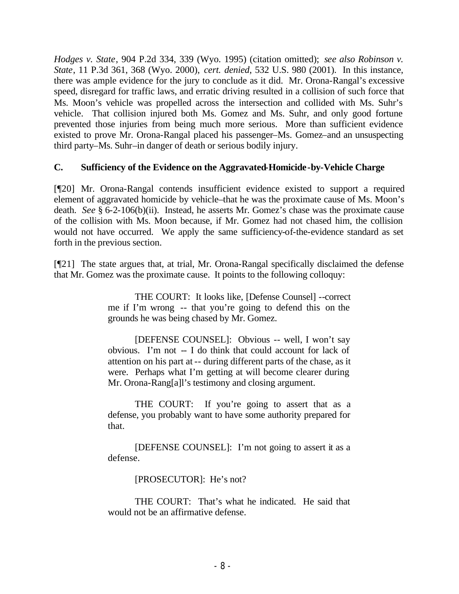*Hodges v. State*, 904 P.2d 334, 339 (Wyo. 1995) (citation omitted); *see also Robinson v. State*, 11 P.3d 361, 368 (Wyo. 2000), *cert. denied*, 532 U.S. 980 (2001). In this instance, there was ample evidence for the jury to conclude as it did. Mr. Orona-Rangal's excessive speed, disregard for traffic laws, and erratic driving resulted in a collision of such force that Ms. Moon's vehicle was propelled across the intersection and collided with Ms. Suhr's vehicle. That collision injured both Ms. Gomez and Ms. Suhr, and only good fortune prevented those injuries from being much more serious. More than sufficient evidence existed to prove Mr. Orona-Rangal placed his passenger–Ms. Gomez–and an unsuspecting third party–Ms. Suhr–in danger of death or serious bodily injury.

## **C. Sufficiency of the Evidence on the Aggravated-Homicide-by-Vehicle Charge**

[¶20] Mr. Orona-Rangal contends insufficient evidence existed to support a required element of aggravated homicide by vehicle–that he was the proximate cause of Ms. Moon's death. *See* § 6-2-106(b)(ii). Instead, he asserts Mr. Gomez's chase was the proximate cause of the collision with Ms. Moon because, if Mr. Gomez had not chased him, the collision would not have occurred. We apply the same sufficiency-of-the-evidence standard as set forth in the previous section.

[¶21] The state argues that, at trial, Mr. Orona-Rangal specifically disclaimed the defense that Mr. Gomez was the proximate cause. It points to the following colloquy:

> THE COURT: It looks like, [Defense Counsel] --correct me if I'm wrong -- that you're going to defend this on the grounds he was being chased by Mr. Gomez.

> [DEFENSE COUNSEL]: Obvious -- well, I won't say obvious. I'm not -- I do think that could account for lack of attention on his part at -- during different parts of the chase, as it were. Perhaps what I'm getting at will become clearer during Mr. Orona-Rang[a]l's testimony and closing argument.

> THE COURT: If you're going to assert that as a defense, you probably want to have some authority prepared for that.

> [DEFENSE COUNSEL]: I'm not going to assert it as a defense.

> > [PROSECUTOR]: He's not?

THE COURT: That's what he indicated. He said that would not be an affirmative defense.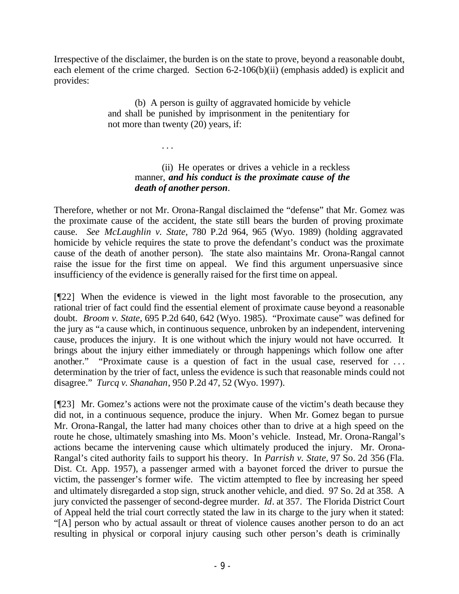Irrespective of the disclaimer, the burden is on the state to prove, beyond a reasonable doubt, each element of the crime charged. Section 6-2-106(b)(ii) (emphasis added) is explicit and provides:

> (b) A person is guilty of aggravated homicide by vehicle and shall be punished by imprisonment in the penitentiary for not more than twenty (20) years, if:

> > . . .

## (ii) He operates or drives a vehicle in a reckless manner, *and his conduct is the proximate cause of the death of another person*.

Therefore, whether or not Mr. Orona-Rangal disclaimed the "defense" that Mr. Gomez was the proximate cause of the accident, the state still bears the burden of proving proximate cause. *See McLaughlin v. State*, 780 P.2d 964, 965 (Wyo. 1989) (holding aggravated homicide by vehicle requires the state to prove the defendant's conduct was the proximate cause of the death of another person). The state also maintains Mr. Orona-Rangal cannot raise the issue for the first time on appeal. We find this argument unpersuasive since insufficiency of the evidence is generally raised for the first time on appeal.

[¶22] When the evidence is viewed in the light most favorable to the prosecution, any rational trier of fact could find the essential element of proximate cause beyond a reasonable doubt. *Broom v. State*, 695 P.2d 640, 642 (Wyo. 1985). "Proximate cause" was defined for the jury as "a cause which, in continuous sequence, unbroken by an independent, intervening cause, produces the injury. It is one without which the injury would not have occurred. It brings about the injury either immediately or through happenings which follow one after another." "Proximate cause is a question of fact in the usual case, reserved for . . . determination by the trier of fact, unless the evidence is such that reasonable minds could not disagree." *Turcq v. Shanahan*, 950 P.2d 47, 52 (Wyo. 1997).

[¶23] Mr. Gomez's actions were not the proximate cause of the victim's death because they did not, in a continuous sequence, produce the injury. When Mr. Gomez began to pursue Mr. Orona-Rangal, the latter had many choices other than to drive at a high speed on the route he chose, ultimately smashing into Ms. Moon's vehicle. Instead, Mr. Orona-Rangal's actions became the intervening cause which ultimately produced the injury. Mr. Orona-Rangal's cited authority fails to support his theory. In *Parrish v. State*, 97 So. 2d 356 (Fla. Dist. Ct. App. 1957), a passenger armed with a bayonet forced the driver to pursue the victim, the passenger's former wife. The victim attempted to flee by increasing her speed and ultimately disregarded a stop sign, struck another vehicle, and died. 97 So. 2d at 358. A jury convicted the passenger of second-degree murder. *Id*. at 357. The Florida District Court of Appeal held the trial court correctly stated the law in its charge to the jury when it stated: "[A] person who by actual assault or threat of violence causes another person to do an act resulting in physical or corporal injury causing such other person's death is criminally